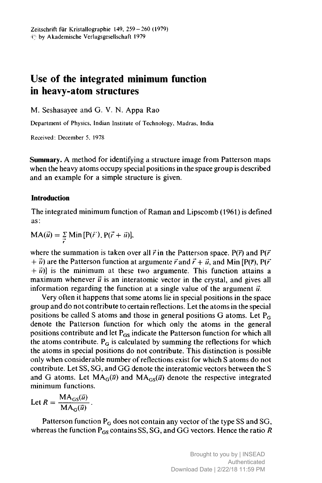## Use of the integrated minimum function in heavy-atom structures

M. Seshasayee and G. V. N. Appa Rao

Department of Physics, Indian Institute of Technology, Madras, India

Received: December 5. 1978

Summary. A method for identifying <sup>a</sup> structure image from Patterson maps when the heavy atoms occupy special positions in the space group is described and an example for <sup>a</sup> simple structure is given.

## Introduction

The integrated minimum function of Raman and Lipscomb (1961) is defined as:

 $MA(\vec{u}) = \sum_{\vec{r}} Min[P(\vec{r}), P(\vec{r} + \vec{u})],$ 

where the summation is taken over all  $\vec{r}$  in the Patterson space. P( $\vec{r}$ ) and P( $\vec{r}$ )  $+ \vec{u}$ ) are the Patterson function at argumente  $\vec{r}$  and  $\vec{r} + \vec{u}$ , and Min [P( $\vec{r}$ ), P( $\vec{r}$ )  $+ \vec{u}$ ) is the minimum at these two argumente. This function attains a maximum whenever  $\vec{u}$  is an interatomic vector in the crystal, and gives all information regarding the function at a single value of the argument  $\vec{u}$ .

Very often it happens that some atoms lie in special positions in the space group and do not contribute to certain reflections. Let the atoms in the special positions be called S atoms and those in general positions G atoms. Let  $P_G$ denote the Patterson function for which only the atoms in the general positions contribute and let  $P_{GS}$  indicate the Patterson function for which all the atoms contribute.  $P_G$  is calculated by summing the reflections for which the atoms in special positions do not contribute. This distinction is possible only when considerable number ofreflections exist for which <sup>S</sup> atoms do not contribute. Let SS, SG, and GG denote the interatomic vectors between the <sup>S</sup> and G atoms. Let  $MA_G(\vec{u})$  and  $MA_{GS}(\vec{u})$  denote the respective integrated minimum functions.

Let 
$$
R = \frac{MA_{GS}(\vec{u})}{MA_G(\vec{u})}
$$
.

Patterson function  $P_G$  does not contain any vector of the type SS and SG, whereas the function  $P_{GS}$  contains SS, SG, and GG vectors. Hence the ratio R